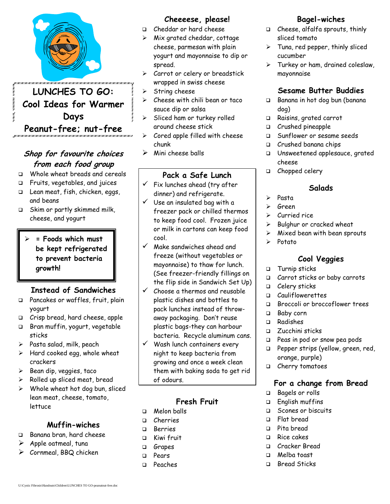

# **LUNCHES TO GO: Cool Ideas for Warmer Days Peanut-free; nut-free**

# **Shop for favourite choices from each food group**

- □ Whole wheat breads and cereals
- Fruits, vegetables, and juices
- □ Lean meat, fish, chicken, eggs, and beans
- □ Skim or partly skimmed milk, cheese, and yogurt

### **= Foods which must be kept refrigerated to prevent bacteria growth!**

# **Instead of Sandwiches**

- Pancakes or waffles, fruit, plain yogurt
- Crisp bread, hard cheese, apple
- Bran muffin, yogurt, vegetable sticks
- $\triangleright$  Pasta salad, milk, peach
- $\triangleright$  Hard cooked egg, whole wheat crackers
- $\triangleright$  Bean dip, veggies, taco
- $\triangleright$  Rolled up sliced meat, bread
- $\triangleright$  Whole wheat hot dog bun, sliced lean meat, cheese, tomato, lettuce

# **Muffin-wiches**

- Banana bran, hard cheese
- $\triangleright$  Apple oatmeal, tuna
- $\triangleright$  Cornmeal, BBQ chicken

### **Cheeeese, please!**

- Cheddar or hard cheese
- $\triangleright$  Mix grated cheddar, cottage cheese, parmesan with plain yogurt and mayonnaise to dip or spread.
- $\triangleright$  Carrot or celery or breadstick wrapped in swiss cheese
- $\triangleright$  String cheese
- $\triangleright$  Cheese with chili bean or taco sauce dip or salsa
- $\triangleright$  Sliced ham or turkey rolled around cheese stick
- $\triangleright$  Cored apple filled with cheese chunk
- $\triangleright$  Mini cheese balls

# **Pack a Safe Lunch**

- $\checkmark$  Fix lunches ahead (try after dinner) and refrigerate.
- $\checkmark$  Use an insulated bag with a freezer pack or chilled thermos to keep food cool. Frozen juice or milk in cartons can keep food cool.
- $\checkmark$  Make sandwiches ahead and freeze (without vegetables or mayonnaise) to thaw for lunch. (See freezer-friendly fillings on the flip side in Sandwich Set Up)
- $\checkmark$  Choose a thermos and reusable plastic dishes and bottles to pack lunches instead of throwaway packaging. Don't reuse plastic bags-they can harbour bacteria. Recycle aluminum cans.
- $\checkmark$  Wash lunch containers every night to keep bacteria from growing and once a week clean them with baking soda to get rid of odours.

# **Fresh Fruit**

- Melon balls
- Cherries
- Berries
- □ Kiwi fruit
- **Grapes**
- Pears
- Peaches

# **Bagel-wiches**

- Cheese, alfalfa sprouts, thinly sliced tomato
- $\triangleright$  Tuna, red pepper, thinly sliced cucumber
- $\triangleright$  Turkey or ham, drained coleslaw, mayonnaise

# **Sesame Butter Buddies**

- Banana in hot dog bun (banana dog)
- Raisins, grated carrot
- $\Box$  Crushed pineapple
- Sunflower or sesame seeds
- Crushed banana chips
- Unsweetened applesauce, grated cheese
- □ Chopped celery

### **Salads**

- $\triangleright$  Pasta
- Green
- Curried rice
- $\triangleright$  Bulghur or cracked wheat
- $\triangleright$  Mixed bean with bean sprouts
- $\triangleright$  Potato

# **Cool Veggies**

- **D** Turnip sticks
- □ Carrot sticks or baby carrots
- □ Celery sticks
- Cauliflowerettes
- Broccoli or broccoflower trees
- □ Baby corn
- Radishes
- □ Zucchini sticks
- Peas in pod or snow pea pods
- **Pepper strips (yellow, green, red,** orange, purple)
- Cherry tomatoes

# **For a change from Bread**

- Bagels or rolls
- English muffins
- □ Scones or biscuits
- Flat bread
- Pita bread
- $\Box$  Rice cakes
- Cracker Bread
- Melba toast
- □ Bread Sticks